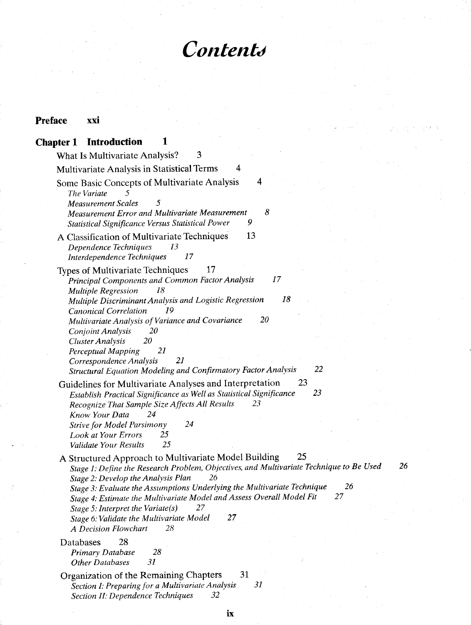# **Preface xxi**

# **Chapter 1 Introduction 1**

| 3<br>What Is Multivariate Analysis?                                                                                                                                                                                                                                                                                                                                                                                                                                                             |  |
|-------------------------------------------------------------------------------------------------------------------------------------------------------------------------------------------------------------------------------------------------------------------------------------------------------------------------------------------------------------------------------------------------------------------------------------------------------------------------------------------------|--|
| Multivariate Analysis in Statistical Terms<br>4                                                                                                                                                                                                                                                                                                                                                                                                                                                 |  |
| 4<br>Some Basic Concepts of Multivariate Analysis<br>The Variate<br>5<br><b>Measurement Scales</b><br>8<br>Measurement Error and Multivariate Measurement<br>9<br>Statistical Significance Versus Statistical Power                                                                                                                                                                                                                                                                             |  |
| 13<br>A Classification of Multivariate Techniques<br>Dependence Techniques<br>13<br>17<br>Interdependence Techniques                                                                                                                                                                                                                                                                                                                                                                            |  |
| Types of Multivariate Techniques<br>17<br>17<br>Principal Components and Common Factor Analysis<br><b>Multiple Regression</b><br>18<br>18<br>Multiple Discriminant Analysis and Logistic Regression                                                                                                                                                                                                                                                                                             |  |
| <b>Canonical Correlation</b><br>19<br>20<br>Multivariate Analysis of Variance and Covariance<br>20<br>Conjoint Analysis<br>20<br><b>Cluster Analysis</b><br>21<br>Perceptual Mapping<br>21<br>Correspondence Analysis<br>22<br>Structural Equation Modeling and Confirmatory Factor Analysis                                                                                                                                                                                                    |  |
| 23<br>Guidelines for Multivariate Analyses and Interpretation<br>23<br>Establish Practical Significance as Well as Statistical Significance<br>Recognize That Sample Size Affects All Results<br>23<br>24<br>Know Your Data<br>24<br><b>Strive for Model Parsimony</b><br><b>Look at Your Errors</b><br>25<br>25<br>Validate Your Results                                                                                                                                                       |  |
| 25<br>A Structured Approach to Multivariate Model Building<br>Stage 1: Define the Research Problem, Objectives, and Multivariate Technique to Be Used<br>Stage 2: Develop the Analysis Plan<br>26<br>26<br>Stage 3: Evaluate the Assumptions Underlying the Multivariate Technique<br>27<br>Stage 4: Estimate the Multivariate Model and Assess Overall Model Fit<br>Stage 5: Interpret the Variate $(s)$<br>27<br>27<br>Stage 6: Validate the Multivariate Model<br>A Decision Flowchart<br>28 |  |
| 28<br>Databases<br>28<br>Primary Database<br>31<br><b>Other Databases</b>                                                                                                                                                                                                                                                                                                                                                                                                                       |  |
| 31<br>Organization of the Remaining Chapters<br>31<br>Section I: Preparing for a Multivariate Analysis<br>Section II: Dependence Techniques<br>32                                                                                                                                                                                                                                                                                                                                               |  |

 $26$ 

**ix**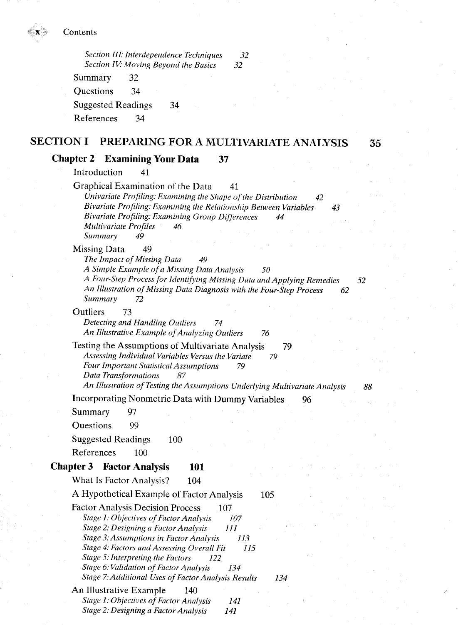*Section III: Interdependence Techniques 32 Section IV: Moving Beyond the Basics 32* 

Summary 32 Questions 34 Suggested Readings 34 References 34

### **SECTION I PREPARING FOR A MULTIVARIATE ANALYSIS**

35

#### **Chapter 2 Examining Your Data 37**

Introduction 41

Graphical Examination of the Data 41 *Univariate Profiling: Examining the Shape of the Distribution* 42 *Bivariate Profiling: Examining the Relationship Between Variables 43 Bivariate Profiling: Examining Group Differences 44 Multivariate Profiles 46 Summary 49* 

Missing Data 49

Summary 97 Questions 99

References 100

Suggested Readings 100

**Chapter 3 Factor Analysis 101** 

*The Impact of Missing Data 49 A Simple Example of a Missing Data Analysis 50 A Four-Step Process for Identifying Missing Data andApplying Remedies*  52 *An Illustration of Missing Data Diagnosis with the Four-Step Process 62 Summary 72* 

Outliers 73 *Detecting and Handling Outliers 74 An Illustrative Example of Analyzing Outliers 76* 

Testing the Assumptions of Multivariate Analysis 79 *Assessing Individual Variables Versus the Variate 79 Four Important Statistical Assumptions 79 Data Transformations 87* 

*An Illustration of Testing the Assumptions Underlying Multivariate Analysis* 

Incorporating Nonmetric Data with Dummy Variables 96

88

#### What Is Factor Analysis? 104 A Hypothetical Example of Factor Analysis 105 Factor Analysis Decision Process 107 *Stage 1: Objectives of Factor Analysis 107 Stage 2: Designinga Factor Analysis 111 Stage 3: Assumptions in Factor Analysis 113 Stage 4: Factors and Assessing Overall Fit 115 Stage 5: Interpreting the Factors 122 Stage 6: Validation of Factor Analysis 134 Stage 7:Additional Uses of Factor Analysis Results 134*  An Illustrative Example 140 *Stage 1: Objectives of Factor Analysis 141 Stage 2: Designing a Factor Analysis 141*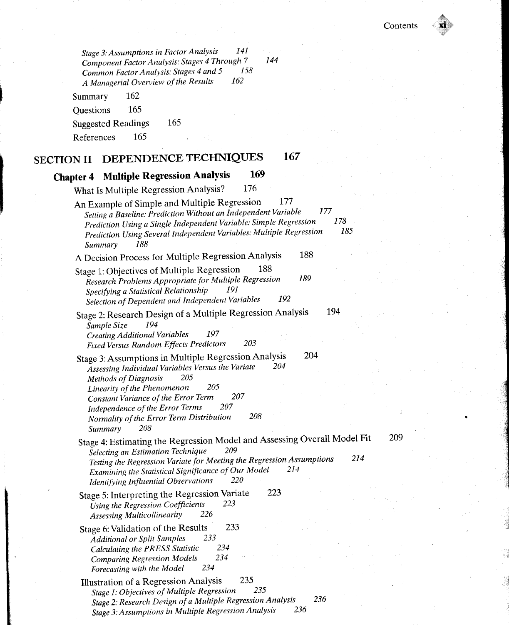*Stage 3 .-Assumptions in Factor Analysis 141 Component Factor Analysis: Stages 4 Through 7 144 Common Factor Analysis: Stages 4 and 5* 1<br>A Managerial Overview of the Results 162 A Managerial Overview of the Results

Summary 162 Questions 165 Suggested Readings 165 References 165

## **SECTION II** DEPENDENCE TECHNIQUES 167

## **Chapter 4 Multiple Regression Analysis 169**

What Is Multiple Regression Analysis? 176 An Example of Simple and Multiple Regression 177 *Setting a Baseline: Prediction Without an Independent Variable 177 Prediction Using a Single Independent Variable: Simple Regression 178 Prediction Using Several Independent Variables: Multiple Regression Summary 188*  A Decision Process for Multiple Regression Analysis 188 Stage 1: Objectives of Multiple Regression 188 *Research Problems Appropriate for Multiple Regression 189*  **Specifying a Statistical Relationship** *Selection of Dependent and Independent Variables 192*  Stage 2: Research Design of a Multiple Regression Analysis 194 *Sample Size 194 Creating Additional Variables 197 Fixed Versus Random Effects Predictors 203*  Stage 3: Assumptions in Multiple Regression Analysis 204 *Assessing Individual Variables Versus the Variate 204 Methods ofDiagnosis 205 Linearity of the Phenomenon* 205 *Constant Variance of the Error Term 207 Independence ofthe Error Terms 207 Normality of the Error Term Distribution* 208 *Summary 208*  Stage 4: Estimating the Regression Model and Assessing Overall Model Fit 209 *Selecting an Estimation Technique 209 Testing the Regression Variate for Meeting the Regression Assumptions 214*<br> *Testing the Statistical Significance of Our Model 214 Examining the Statistical Significance of Our Model Identifying Influential Observations* 220 *Identifying Influential Observations* Stage 5: Interpreting the Regression Variate 223 *Using the Regression Coefficients 223 Assessing Multicollinearity 226*  Stage 6: Validation of the Results 233 *Additional or Split Samples 233 Calculating the PRESS Statistic 234 Comparing Regression Models 234 Forecasting with the Model 234*  Illustration of a Regression Analysis 235 *Stage 1: Objectives of Multiple Regression 235* 

*Stage 2: Research Design of a Multiple Regression Analysis 236 Stage 3: Assumptions in Multiple Regression Analysis 236*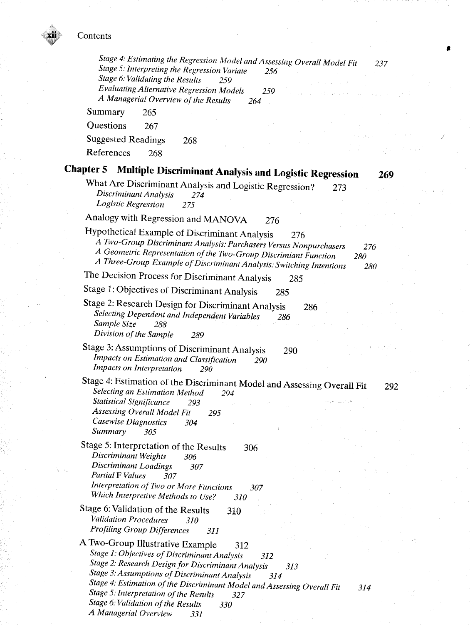| Stage 4: Estimating the Regression Model and Assessing Overall Model Fit<br>237<br>Stage 5: Interpreting the Regression Variate<br>256<br>Stage 6: Validating the Results<br>259<br><b>Evaluating Alternative Regression Models</b><br>259                                                                                                                                                                 |
|------------------------------------------------------------------------------------------------------------------------------------------------------------------------------------------------------------------------------------------------------------------------------------------------------------------------------------------------------------------------------------------------------------|
| A Managerial Overview of the Results<br>264                                                                                                                                                                                                                                                                                                                                                                |
| Summary<br>265                                                                                                                                                                                                                                                                                                                                                                                             |
| Questions<br>267                                                                                                                                                                                                                                                                                                                                                                                           |
| <b>Suggested Readings</b><br>268                                                                                                                                                                                                                                                                                                                                                                           |
| References<br>268                                                                                                                                                                                                                                                                                                                                                                                          |
| Chapter 5<br><b>Multiple Discriminant Analysis and Logistic Regression</b><br>269                                                                                                                                                                                                                                                                                                                          |
| What Are Discriminant Analysis and Logistic Regression?<br>273<br>Discriminant Analysis<br>274<br>Logistic Regression<br>275                                                                                                                                                                                                                                                                               |
| Analogy with Regression and MANOVA<br>276                                                                                                                                                                                                                                                                                                                                                                  |
| Hypothetical Example of Discriminant Analysis<br>276<br>A Two-Group Discriminant Analysis: Purchasers Versus Nonpurchasers<br>276<br>A Geometric Representation of the Two-Group Discrimiant Function<br>280<br>A Three-Group Example of Discriminant Analysis: Switching Intentions<br>280                                                                                                                |
| The Decision Process for Discriminant Analysis<br>285                                                                                                                                                                                                                                                                                                                                                      |
| Stage 1: Objectives of Discriminant Analysis<br>285                                                                                                                                                                                                                                                                                                                                                        |
| Stage 2: Research Design for Discriminant Analysis<br>286<br>Selecting Dependent and Independent Variables<br>286<br>Sample Size<br>288<br>Division of the Sample<br>289                                                                                                                                                                                                                                   |
| Stage 3: Assumptions of Discriminant Analysis<br>290<br>Impacts on Estimation and Classification<br>290<br>Impacts on Interpretation<br>290                                                                                                                                                                                                                                                                |
| Stage 4: Estimation of the Discriminant Model and Assessing Overall Fit<br>292<br>Selecting an Estimation Method<br>294<br><b>Statistical Significance</b><br>293<br>Assessing Overall Model Fit<br>295<br>Casewise Diagnostics<br>304<br>Summary<br>305                                                                                                                                                   |
| Stage 5: Interpretation of the Results<br>306<br>Discriminant Weights 306<br>Discriminant Loadings<br>307<br><b>Partial F Values</b><br>307<br>Interpretation of Two or More Functions<br>307                                                                                                                                                                                                              |
| Which Interpretive Methods to Use?<br>310<br>Stage 6: Validation of the Results<br>310<br>Validation Procedures<br>310<br><b>Profiling Group Differences</b><br>311                                                                                                                                                                                                                                        |
| A Two-Group Illustrative Example<br>312<br>Stage 1: Objectives of Discriminant Analysis<br>312<br>Stage 2: Research Design for Discriminant Analysis<br>313<br>Stage 3: Assumptions of Discriminant Analysis<br>314<br>Stage 4: Estimation of the Discriminant Model and Assessing Overall Fit<br>314<br>Stage 5: Interpretation of the Results<br>327<br>Stage 6: Validation of the Results<br><i>330</i> |

**«** 

*A Managerial Overview 331*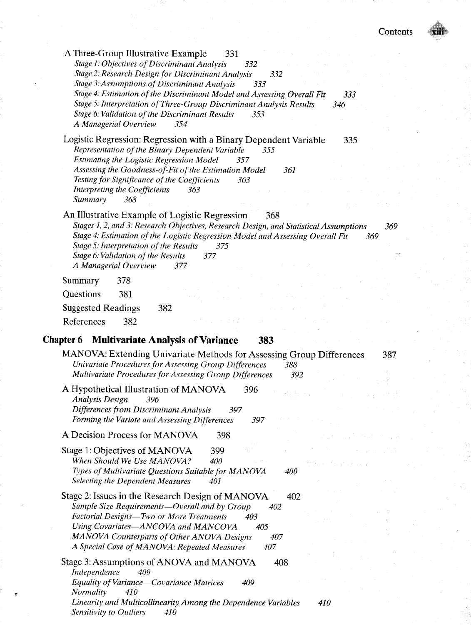| A Three-Group Illustrative Example<br>331<br>Stage 1: Objectives of Discriminant Analysis<br>332<br>Stage 2: Research Design for Discriminant Analysis<br>332<br>Stage 3: Assumptions of Discriminant Analysis<br>333<br>Stage 4: Estimation of the Discriminant Model and Assessing Overall Fit<br>333                                                                             |
|-------------------------------------------------------------------------------------------------------------------------------------------------------------------------------------------------------------------------------------------------------------------------------------------------------------------------------------------------------------------------------------|
| Stage 5: Interpretation of Three-Group Discriminant Analysis Results<br>346<br>Stage 6: Validation of the Discriminant Results<br>353<br>A Managerial Overview<br>354                                                                                                                                                                                                               |
| Logistic Regression: Regression with a Binary Dependent Variable<br>335<br>Representation of the Binary Dependent Variable<br>355<br><b>Estimating the Logistic Regression Model</b><br>357<br>Assessing the Goodness-of-Fit of the Estimation Model<br>361<br>Testing for Significance of the Coefficients<br>363<br><b>Interpreting the Coefficients</b><br>363<br>Summary<br>368 |
| An Illustrative Example of Logistic Regression<br>368<br>Stages 1, 2, and 3: Research Objectives, Research Design, and Statistical Assumptions<br>369<br>Stage 4: Estimation of the Logistic Regression Model and Assessing Overall Fit<br>369<br>Stage 5: Interpretation of the Results<br>375<br>Stage 6: Validation of the Results<br>377<br>A Managerial Overview<br>377        |
| Summary<br>378                                                                                                                                                                                                                                                                                                                                                                      |
| Questions<br>381                                                                                                                                                                                                                                                                                                                                                                    |
| <b>Suggested Readings</b><br>382                                                                                                                                                                                                                                                                                                                                                    |
| References<br>382                                                                                                                                                                                                                                                                                                                                                                   |
|                                                                                                                                                                                                                                                                                                                                                                                     |
| <b>Multivariate Analysis of Variance</b><br>Chapter 6<br>383                                                                                                                                                                                                                                                                                                                        |
| MANOVA: Extending Univariate Methods for Assessing Group Differences<br>387<br>Univariate Procedures for Assessing Group Differences<br>388<br>Multivariate Procedures for Assessing Group Differences<br>392                                                                                                                                                                       |
| A Hypothetical Illustration of MANOVA<br>396<br><b>Analysis Design</b><br>396<br>Differences from Discriminant Analysis<br>397<br>Forming the Variate and Assessing Differences<br>397                                                                                                                                                                                              |
| A Decision Process for MANOVA<br>398                                                                                                                                                                                                                                                                                                                                                |
| Stage 1: Objectives of MANOVA<br>399<br>When Should We Use MANOVA?<br>400<br>Types of Multivariate Questions Suitable for MANOVA<br><i>400</i><br><b>Selecting the Dependent Measures</b><br>401                                                                                                                                                                                    |
| Stage 2: Issues in the Research Design of MANOVA<br>402<br>Sample Size Requirements-Overall and by Group<br>402<br>Factorial Designs-Two or More Treatments<br>403<br>Using Covariates-ANCOVA and MANCOVA<br>405<br>MANOVA Counterparts of Other ANOVA Designs<br>407<br>A Special Case of MANOVA: Repeated Measures<br>407                                                         |
| Stage 3: Assumptions of ANOVA and MANOVA<br>408<br>Independence<br>409<br>Equality of Variance-Covariance Matrices<br>409<br>Normality<br>410<br>Linearity and Multicollinearity Among the Dependence Variables<br>410                                                                                                                                                              |

*Sensitivity to Outliers 410*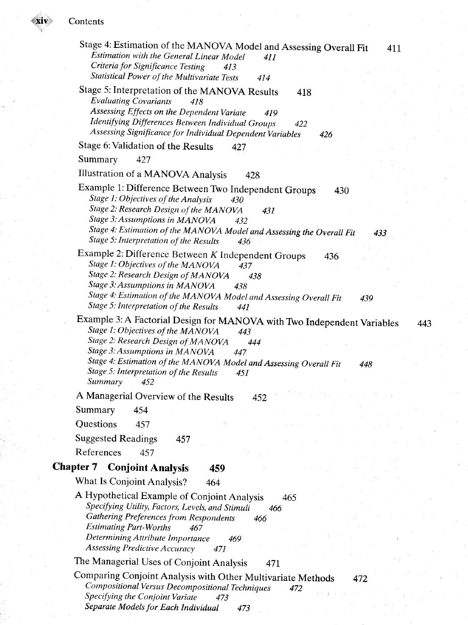| Stage 4: Estimation of the MANOVA Model and Assessing Overall Fit<br>411<br>Estimation with the General Linear Model<br>411<br>Criteria for Significance Testing<br>413<br>Statistical Power of the Multivariate Tests<br>414                                                                                                                                   |
|-----------------------------------------------------------------------------------------------------------------------------------------------------------------------------------------------------------------------------------------------------------------------------------------------------------------------------------------------------------------|
| Stage 5: Interpretation of the MANOVA Results<br>418<br><b>Evaluating Covariants</b><br>418<br>Assessing Effects on the Dependent Variate<br>419<br>Identifying Differences Between Individual Groups<br>422<br>Assessing Significance for Individual Dependent Variables<br>426                                                                                |
| Stage 6: Validation of the Results<br>427                                                                                                                                                                                                                                                                                                                       |
| Summary<br>427                                                                                                                                                                                                                                                                                                                                                  |
| Illustration of a MANOVA Analysis<br>428                                                                                                                                                                                                                                                                                                                        |
| Example 1: Difference Between Two Independent Groups<br>430<br>Stage 1: Objectives of the Analysis<br>430<br>Stage 2: Research Design of the MANOVA<br>431<br>Stage 3: Assumptions in MANOVA<br>432<br>Stage 4: Estimation of the MANOVA Model and Assessing the Overall Fit<br>433<br>Stage 5: Interpretation of the Results<br>436                            |
| Example 2: Difference Between K Independent Groups<br>436<br>Stage 1: Objectives of the MANOVA<br>437<br>Stage 2: Research Design of MANOVA<br>438<br>Stage 3: Assumptions in MANOVA<br>438<br>Stage 4: Estimation of the MANOVA Model and Assessing Overall Fit<br>439<br>Stage 5: Interpretation of the Results<br>441                                        |
| Example 3: A Factorial Design for MANOVA with Two Independent Variables<br>443<br>Stage 1: Objectives of the MANOVA<br>443<br>Stage 2: Research Design of MANOVA<br>444<br>Stage 3: Assumptions in MANOVA<br>447<br>Stage 4: Estimation of the MANOVA Model and Assessing Overall Fit<br>448<br>Stage 5: Interpretation of the Results<br>451<br>Summary<br>452 |
| A Managerial Overview of the Results<br>452                                                                                                                                                                                                                                                                                                                     |
| Summary<br>454                                                                                                                                                                                                                                                                                                                                                  |
| Questions<br>457                                                                                                                                                                                                                                                                                                                                                |
| <b>Suggested Readings</b><br>457                                                                                                                                                                                                                                                                                                                                |
| References<br>457                                                                                                                                                                                                                                                                                                                                               |
| <b>Chapter 7 Conjoint Analysis</b><br>459                                                                                                                                                                                                                                                                                                                       |
| What Is Conjoint Analysis?<br>464                                                                                                                                                                                                                                                                                                                               |
| A Hypothetical Example of Conjoint Analysis<br>465<br>Specifying Utility, Factors, Levels, and Stimuli<br>466<br>Gathering Preferences from Respondents<br>466<br><b>Estimating Part-Worths</b><br>467<br>Determining Attribute Importance<br>469<br><b>Assessing Predictive Accuracy</b><br>471                                                                |
| The Managerial Uses of Conjoint Analysis<br>471                                                                                                                                                                                                                                                                                                                 |
| Comparing Conjoint Analysis with Other Multivariate Methods<br>472<br>Compositional Versus Decompositional Techniques<br>472<br>Specifying the Conjoint Variate<br>473                                                                                                                                                                                          |

*Separate Models for Each Individual 473*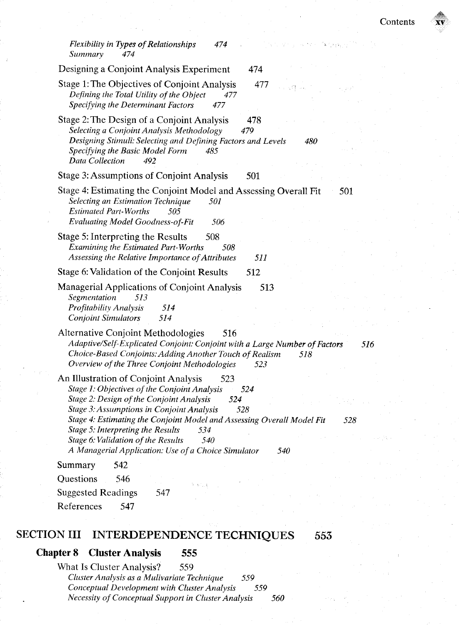

#### Chapter 8 Cluster Analysis 555

What Is Cluster Analysis? 559 *Cluster Analysis as a Mulivariate Technique 559 Conceptual Development with Cluster Analysis 559 Necessity of Conceptual Support in Cluster Analysis 560*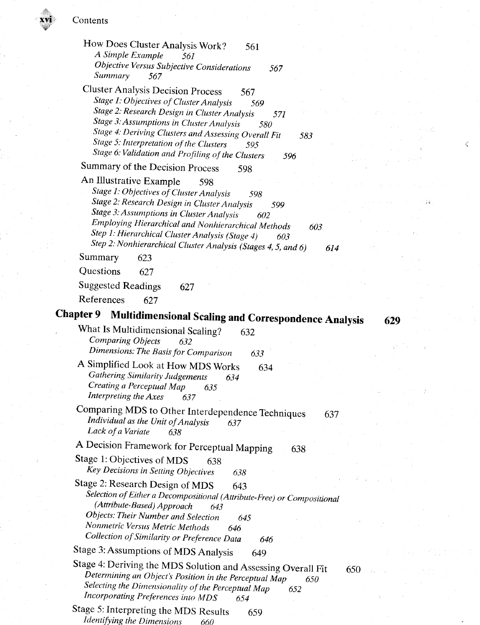**xvi** Contents

How Does Cluster Analysis Work? 561 *A Simple Example 561 Objective Versus Subjective Considerations 567 Summary 567*  Cluster Analysis Decision Process 567 *Stage 1: Objectives of Cluster Analysis* 569 *Stage 2: Research Design in Cluster Analysis 571 Stage 3: Assumptions in Cluster Analysis 580 Stage 4: Deriving Clusters and Assessing Overall Fit 583*  **Stage 5: Interpretation of the Clusters 595 45 and 595 600 million of the Clusters** 595 600 million of the Clusters 600 million of the Clusters 600 million of the Clusters 600 million of the Clusters 600 million of the Cl *Stage 6: Validation and Profiling of the Clusters 596*  Summary of the Decision Process 598 An Illustrative Example 598 *Stage 1: Objectives of Cluster Analysis 598*  **Stage 2: Research Design in Cluster Analysis** 599 *Stage 3: Assumptions in Cluster Analysis 602 Employing Hierarchical and Nonhierarchical Methods 603 Step 1: Hierarchical Cluster Analysis (Stage 4) 603 Step 2: Nonhierarchical Cluster Analysis (Stages 4, 5, and 6) 614*  Summary 623 Questions 627 Suggested Readings 627 References 627 **Chapter 9 Multidimensional Scaling and Correspondence Analysis 629**  What Is Multidimensional Scaling? 632 *Comparing Objects 632 Dimensions: The Basis for Comparison 633 A* Simplified Look at How MDS Works 634 *Gathering Similarity Judgements 634 Creating a Perceptual Map 635 Interpreting the Axes* Comparing MDS to Other Interdependence Techniques 637 *Individual as the Unit of Analysis 637 Lack ofa Variate 638*  A Decision Framework for Perceptual Mapping 638 Stage 1: Objectives of MDS 638 *Key Decisions in Setting Objectives 638*  Stage 2: Research Design of MDS 643 *Selection of Either a Decompositional (Attribute-Free) or Compositional (Attribute-Based) Approach 643 Objects: Their Number and Selection 645 Nonmetric Versus Metrie Methods 646 Collection of Similarity or Preference Data 646*  Stage 3: Assumptions of MDS Analysis 649 Stage 4: Deriving the MDS Solution and Assessing Overall Fit 650 *Determining an Object's Position in the Perceptual Map 650 Selecting the Dimensionality of the Perceptual Map* 652 *Incorporating Preferences into MDS 654*  Stage 5: Interpreting the MDS Results 659 *Identifying the Dimensions 660*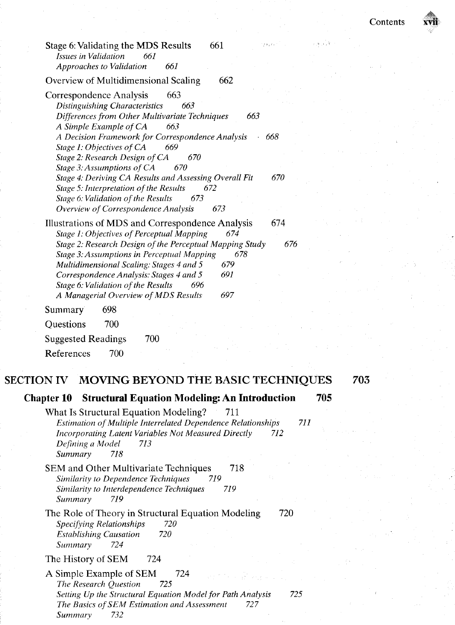|            | 661<br>39973<br>Stage 6: Validating the MDS Results<br>Issues in Validation<br>661<br><b>Approaches to Validation</b><br>661 |     |
|------------|------------------------------------------------------------------------------------------------------------------------------|-----|
|            | 662                                                                                                                          |     |
|            | Overview of Multidimensional Scaling                                                                                         |     |
|            | 663<br>Correspondence Analysis<br>Distinguishing Characteristics<br>663                                                      |     |
|            | Differences from Other Multivariate Techniques<br>663                                                                        |     |
|            | A Simple Example of CA<br>663                                                                                                |     |
|            | A Decision Framework for Correspondence Analysis<br>668                                                                      |     |
|            | Stage 1: Objectives of CA<br>669<br>Stage 2: Research Design of CA<br>670                                                    |     |
|            | Stage 3: Assumptions of CA<br>670                                                                                            |     |
|            | Stage 4: Deriving CA Results and Assessing Overall Fit<br>670                                                                |     |
|            | Stage 5: Interpretation of the Results<br>672<br>Stage 6: Validation of the Results<br>673                                   |     |
|            | Overview of Correspondence Analysis<br>673                                                                                   |     |
|            | Illustrations of MDS and Correspondence Analysis<br>674                                                                      |     |
|            | Stage 1: Objectives of Perceptual Mapping<br>674                                                                             |     |
|            | Stage 2: Research Design of the Perceptual Mapping Study<br>676                                                              |     |
|            | Stage 3: Assumptions in Perceptual Mapping<br>678<br>Multidimensional Scaling: Stages 4 and 5<br>679                         |     |
|            | 691<br>Correspondence Analysis: Stages 4 and 5                                                                               |     |
|            | Stage 6: Validation of the Results<br>696                                                                                    |     |
|            | A Managerial Overview of MDS Results<br>697                                                                                  |     |
|            | 698<br>Summary                                                                                                               |     |
|            | Questions<br>700                                                                                                             |     |
|            | <b>Suggested Readings</b><br>700                                                                                             |     |
|            | 700<br>References                                                                                                            |     |
|            |                                                                                                                              |     |
| SECTION IV | MOVING BEYOND THE BASIC TECHNIQUES                                                                                           | 703 |
|            | <b>Structural Equation Modeling: An Introduction</b><br><b>Chapter 10</b>                                                    | 705 |
|            | What Is Structural Equation Modeling?<br>711                                                                                 |     |
|            | Estimation of Multiple Interrelated Dependence Relationships                                                                 | 711 |
|            | <b>Incorporating Latent Variables Not Measured Directly</b><br>712                                                           |     |
|            | Defining a Model<br>713<br>718<br>Summary                                                                                    |     |
|            | 718<br>SEM and Other Multivariate Techniques                                                                                 |     |
|            | Similarity to Dependence Techniques<br>719                                                                                   |     |
|            | Similarity to Interdependence Techniques<br>719                                                                              |     |
|            | Summary<br>719                                                                                                               |     |
|            | 720<br>The Role of Theory in Structural Equation Modeling<br>720                                                             |     |
|            | <b>Specifying Relationships</b><br>720<br><b>Establishing Causation</b>                                                      |     |
|            | 724<br>Summary                                                                                                               |     |
|            | The History of SEM<br>724                                                                                                    |     |
|            | A Simple Example of SEM<br>724                                                                                               |     |
|            | The Research Question<br>725                                                                                                 |     |
|            | Setting Up the Structural Equation Model for Path Analysis<br>725                                                            |     |
|            | The Basics of SEM Estimation and Assessment<br>727<br>732<br>Summary                                                         |     |
|            |                                                                                                                              |     |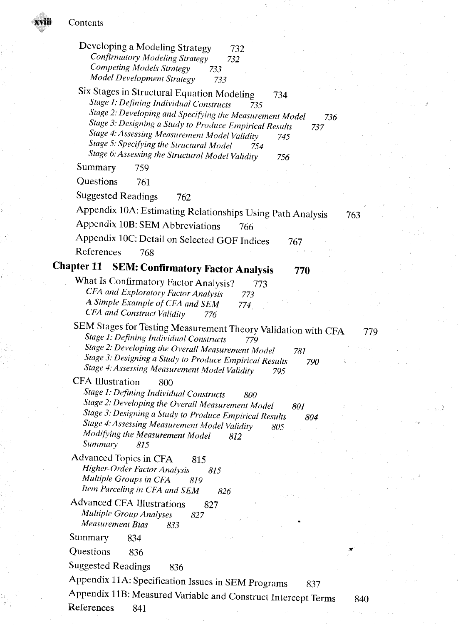riii

| Developing a Modeling Strategy<br>732<br><b>Confirmatory Modeling Strategy</b><br>732<br><b>Competing Models Strategy</b><br>733<br>Model Development Strategy<br>733                                                                                                                                                                                                                                          |  |
|----------------------------------------------------------------------------------------------------------------------------------------------------------------------------------------------------------------------------------------------------------------------------------------------------------------------------------------------------------------------------------------------------------------|--|
| Six Stages in Structural Equation Modeling<br>734<br>Stage 1: Defining Individual Constructs<br>735<br>Stage 2: Developing and Specifying the Measurement Model<br>736<br>Stage 3: Designing a Study to Produce Empirical Results<br>737<br>Stage 4: Assessing Measurement Model Validity<br>745<br>Stage 5: Specifying the Structural Model<br>754<br>Stage 6: Assessing the Structural Model Validity<br>756 |  |
| Summary<br>759                                                                                                                                                                                                                                                                                                                                                                                                 |  |
| Questions<br>761                                                                                                                                                                                                                                                                                                                                                                                               |  |
| <b>Suggested Readings</b><br>762                                                                                                                                                                                                                                                                                                                                                                               |  |
| Appendix 10A: Estimating Relationships Using Path Analysis                                                                                                                                                                                                                                                                                                                                                     |  |
| 763<br>Appendix 10B: SEM Abbreviations<br>766                                                                                                                                                                                                                                                                                                                                                                  |  |
| Appendix 10C: Detail on Selected GOF Indices                                                                                                                                                                                                                                                                                                                                                                   |  |
| 767<br>References<br>768                                                                                                                                                                                                                                                                                                                                                                                       |  |
| <b>Chapter 11</b>                                                                                                                                                                                                                                                                                                                                                                                              |  |
| <b>SEM: Confirmatory Factor Analysis</b><br>770                                                                                                                                                                                                                                                                                                                                                                |  |
| What Is Confirmatory Factor Analysis?<br>773<br>CFA and Exploratory Factor Analysis<br>773<br>A Simple Example of CFA and SEM<br>774<br>CFA and Construct Validity<br>776                                                                                                                                                                                                                                      |  |
| SEM Stages for Testing Measurement Theory Validation with CFA<br>779<br>Stage 1: Defining Individual Constructs<br>779<br>Stage 2: Developing the Overall Measurement Model<br>781<br>Stage 3: Designing a Study to Produce Empirical Results<br>790                                                                                                                                                           |  |
| Stage 4: Assessing Measurement Model Validity<br>795<br><b>CFA Illustration</b>                                                                                                                                                                                                                                                                                                                                |  |
| 800<br>Stage 1: Defining Individual Constructs<br>800<br>Stage 2: Developing the Overall Measurement Model<br>801<br>Stage 3: Designing a Study to Produce Empirical Results<br>804                                                                                                                                                                                                                            |  |
| Stage 4: Assessing Measurement Model Validity<br>805<br>Modifying the Measurement Model<br>812                                                                                                                                                                                                                                                                                                                 |  |
| Summary<br>815                                                                                                                                                                                                                                                                                                                                                                                                 |  |
| Advanced Topics in CFA<br>815<br>Higher-Order Factor Analysis<br>815<br>Multiple Groups in CFA<br>819<br>Item Parceling in CFA and SEM<br>826                                                                                                                                                                                                                                                                  |  |
| <b>Advanced CFA Illustrations</b><br>827<br>Multiple Group Analyses<br>827<br>Measurement Bias<br>833                                                                                                                                                                                                                                                                                                          |  |
| Summary<br>834                                                                                                                                                                                                                                                                                                                                                                                                 |  |
| Questions<br>836                                                                                                                                                                                                                                                                                                                                                                                               |  |
| <b>Suggested Readings</b><br>836                                                                                                                                                                                                                                                                                                                                                                               |  |
| Appendix 11A: Specification Issues in SEM Programs                                                                                                                                                                                                                                                                                                                                                             |  |
| 837<br>Appendix 11B: Measured Variable and Construct Intercept Terms                                                                                                                                                                                                                                                                                                                                           |  |
| 840<br>References<br>841                                                                                                                                                                                                                                                                                                                                                                                       |  |
|                                                                                                                                                                                                                                                                                                                                                                                                                |  |